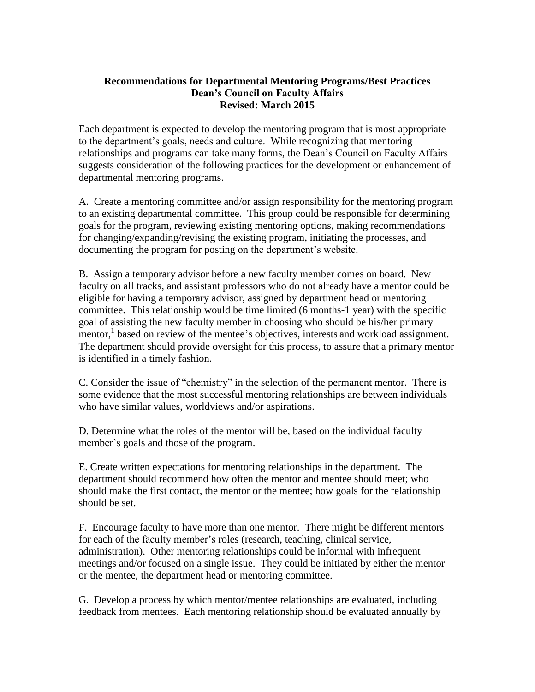## **Recommendations for Departmental Mentoring Programs/Best Practices Dean's Council on Faculty Affairs Revised: March 2015**

Each department is expected to develop the mentoring program that is most appropriate to the department's goals, needs and culture. While recognizing that mentoring relationships and programs can take many forms, the Dean's Council on Faculty Affairs suggests consideration of the following practices for the development or enhancement of departmental mentoring programs.

A. Create a mentoring committee and/or assign responsibility for the mentoring program to an existing departmental committee. This group could be responsible for determining goals for the program, reviewing existing mentoring options, making recommendations for changing/expanding/revising the existing program, initiating the processes, and documenting the program for posting on the department's website.

B. Assign a temporary advisor before a new faculty member comes on board. New faculty on all tracks, and assistant professors who do not already have a mentor could be eligible for having a temporary advisor, assigned by department head or mentoring committee. This relationship would be time limited (6 months-1 year) with the specific goal of assisting the new faculty member in choosing who should be his/her primary mentor,<sup>1</sup> based on review of the mentee's objectives, interests and workload assignment. The department should provide oversight for this process, to assure that a primary mentor is identified in a timely fashion.

C. Consider the issue of "chemistry" in the selection of the permanent mentor. There is some evidence that the most successful mentoring relationships are between individuals who have similar values, worldviews and/or aspirations.

D. Determine what the roles of the mentor will be, based on the individual faculty member's goals and those of the program.

E. Create written expectations for mentoring relationships in the department. The department should recommend how often the mentor and mentee should meet; who should make the first contact, the mentor or the mentee; how goals for the relationship should be set.

F. Encourage faculty to have more than one mentor. There might be different mentors for each of the faculty member's roles (research, teaching, clinical service, administration). Other mentoring relationships could be informal with infrequent meetings and/or focused on a single issue. They could be initiated by either the mentor or the mentee, the department head or mentoring committee.

G. Develop a process by which mentor/mentee relationships are evaluated, including feedback from mentees. Each mentoring relationship should be evaluated annually by